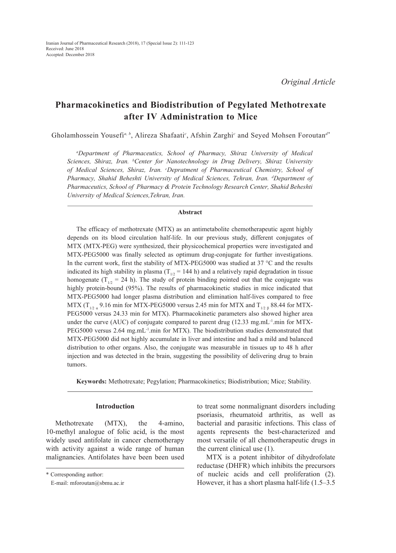# **Pharmacokinetics and Biodistribution of Pegylated Methotrexate after IV Administration to Mice**

Gholamhossein Yousefi*a, b*, Alireza Shafaati*<sup>c</sup>* , Afshin Zarghi*<sup>c</sup>* and Seyed Mohsen Foroutan*d\**

*a Department of Pharmaceutics, School of Pharmacy, Shiraz University of Medical Sciences, Shiraz, Iran. b Center for Nanotechnology in Drug Delivery, Shiraz University of Medical Sciences, Shiraz, Iran. c Depratment of Pharmaceutical Chemistry, School of Pharmacy, Shahid Beheshti University of Medical Sciences, Tehran, Iran. d Department of Pharmaceutics, School of Pharmacy & Protein Technology Research Center, Shahid Beheshti University of Medical Sciences,Tehran, Iran.*

### **Abstract**

The efficacy of methotrexate (MTX) as an antimetabolite chemotherapeutic agent highly depends on its blood circulation half-life. In our previous study, different conjugates of MTX (MTX-PEG) were synthesized, their physicochemical properties were investigated and MTX-PEG5000 was finally selected as optimum drug-conjugate for further investigations. In the current work, first the stability of MTX-PEG5000 was studied at 37 °C and the results indicated its high stability in plasma ( $T_{1/2}$  = 144 h) and a relatively rapid degradation in tissue homogenate ( $T_{1/2}$  = 24 h). The study of protein binding pointed out that the conjugate was highly protein-bound (95%). The results of pharmacokinetic studies in mice indicated that MTX-PEG5000 had longer plasma distribution and elimination half-lives compared to free MTX (T<sub>1/2 a</sub> 9.16 min for MTX-PEG5000 versus 2.45 min for MTX and T<sub>1/2 β</sub> 88.44 for MTX-PEG5000 versus 24.33 min for MTX). Pharmacokinetic parameters also showed higher area under the curve (AUC) of conjugate compared to parent drug (12.33 mg.mL<sup>-1</sup>.min for MTX-PEG5000 versus 2.64 mg.mL<sup>-1</sup>.min for MTX). The biodistribution studies demonstrated that MTX-PEG5000 did not highly accumulate in liver and intestine and had a mild and balanced distribution to other organs. Also, the conjugate was measurable in tissues up to 48 h after injection and was detected in the brain, suggesting the possibility of delivering drug to brain tumors.

**Keywords:** Methotrexate; Pegylation; Pharmacokinetics; Biodistribution; Mice; Stability.

#### **Introduction**

Methotrexate (MTX), the 4-amino, 10-methyl analogue of folic acid, is the most widely used antifolate in cancer chemotherapy with activity against a wide range of human malignancies. Antifolates have been been used to treat some nonmalignant disorders including psoriasis, rheumatoid arthritis, as well as bacterial and parasitic infections. This class of agents represents the best-characterized and most versatile of all chemotherapeutic drugs in the current clinical use (1).

MTX is a potent inhibitor of dihydrofolate reductase (DHFR) which inhibits the precursors of nucleic acids and cell proliferation (2). However, it has a short plasma half-life (1.5–3.5

<sup>\*</sup> Corresponding author:

E-mail: mforoutan@sbmu.ac.ir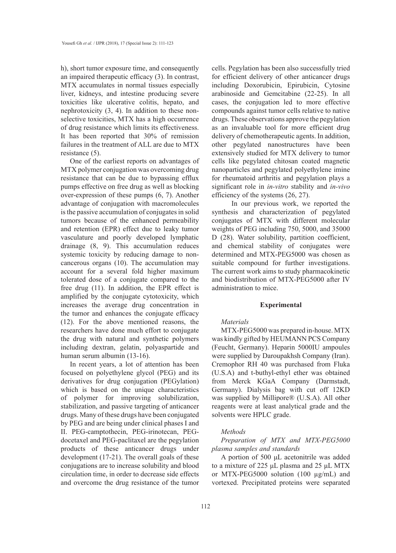h), short tumor exposure time, and consequently an impaired therapeutic efficacy (3). In contrast, MTX accumulates in normal tissues especially liver, kidneys, and intestine producing severe toxicities like ulcerative colitis, hepato, and nephrotoxicity (3, 4). In addition to these nonselective toxicities, MTX has a high occurrence of drug resistance which limits its effectiveness. It has been reported that 30% of remission failures in the treatment of ALL are due to MTX resistance (5).

One of the earliest reports on advantages of MTX polymer conjugation was overcoming drug resistance that can be due to bypassing efflux pumps effective on free drug as well as blocking over-expression of these pumps (6, 7). Another advantage of conjugation with macromolecules is the passive accumulation of conjugates in solid tumors because of the enhanced permeability and retention (EPR) effect due to leaky tumor vasculature and poorly developed lymphatic drainage (8, 9). This accumulation reduces systemic toxicity by reducing damage to noncancerous organs (10). The accumulation may account for a several fold higher maximum tolerated dose of a conjugate compared to the free drug (11). In addition, the EPR effect is amplified by the conjugate cytotoxicity, which increases the average drug concentration in the tumor and enhances the conjugate efficacy (12). For the above mentioned reasons, the researchers have done much effort to conjugate the drug with natural and synthetic polymers including dextran, gelatin, polyaspartide and human serum albumin (13-16).

In recent years, a lot of attention has been focused on polyethylene glycol (PEG) and its derivatives for drug conjugation (PEGylation) which is based on the unique characteristics of polymer for improving solubilization, stabilization, and passive targeting of anticancer drugs. Many of these drugs have been conjugated by PEG and are being under clinical phases I and II. PEG-camptothecin, PEG-irinotecan, PEGdocetaxel and PEG-paclitaxel are the pegylation products of these anticancer drugs under development (17-21). The overall goals of these conjugations are to increase solubility and blood circulation time, in order to decrease side effects and overcome the drug resistance of the tumor

cells. Pegylation has been also successfully tried for efficient delivery of other anticancer drugs including Doxorubicin, Epirubicin, Cytosine arabinoside and Gemcitabine (22-25). In all cases, the conjugation led to more effective compounds against tumor cells relative to native drugs. These observations approve the pegylation as an invaluable tool for more efficient drug delivery of chemotherapeutic agents. In addition, other pegylated nanostructures have been extensively studied for MTX delivery to tumor cells like pegylated chitosan coated magnetic nanoparticles and pegylated polyethylene imine for rheumatoid arthritis and pegylation plays a significant role in *in-vitro* stability and *in-vivo* efficiency of the systems (26, 27).

 In our previous work, we reported the synthesis and characterization of pegylated conjugates of MTX with different molecular weights of PEG including 750, 5000, and 35000 D (28). Water solubility, partition coefficient, and chemical stability of conjugates were determined and MTX-PEG5000 was chosen as suitable compound for further investigations. The current work aims to study pharmacokinetic and biodistribution of MTX-PEG5000 after IV administration to mice.

#### **Experimental**

#### *Materials*

MTX-PEG5000 was prepared in-house. MTX was kindly gifted by HEUMANN PCS Company (Feucht, Germany). Heparin 5000IU ampoules were supplied by Daroupakhsh Company (Iran). Cremophor RH 40 was purchased from Fluka (U.S.A) and t-buthyl-ethyl ether was obtained from Merck KGaA Company (Darmstadt, Germany). Dialysis bag with cut off 12KD was supplied by Millipore® (U.S.A). All other reagents were at least analytical grade and the solvents were HPLC grade.

#### *Methods*

*Preparation of MTX and MTX-PEG5000 plasma samples and standards*

A portion of 500 μL acetonitrile was added to a mixture of 225 μL plasma and 25 μL MTX or MTX-PEG5000 solution (100 µg/mL) and vortexed. Precipitated proteins were separated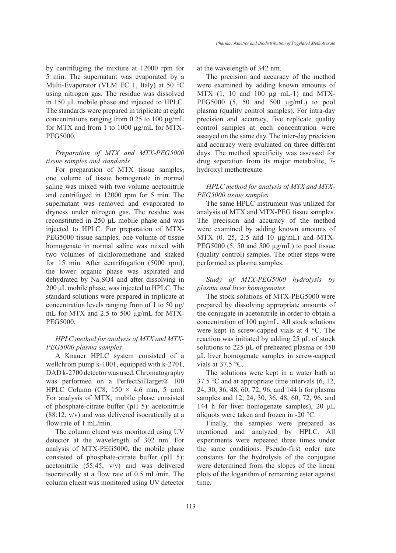Multi-Evaporator (VLM EC 1, Italy) at 50 °C using nitrogen gas. The residue was dissolved in 150 μL mobile phase and injected to HPLC. The standards were prepared in triplicate at eight concentrations ranging from  $0.25$  to  $100 \mu g/mL$ for MTX and from 1 to 1000 µg/mL for MTX-PEG5000.

# *Preparation of MTX and MTX-PEG5000 tissue samples and standards*

For preparation of MTX tissue samples, one volume of tissue homogenate in normal saline was mixed with two volume acetonitrile and centrifuged in 12000 rpm for 5 min. The supernatant was removed and evaporated to dryness under nitrogen gas. The residue was reconstituted in 250 μL mobile phase and was injected to HPLC. For preparation of MTX-PEG5000 tissue samples, one volume of tissue homogenate in normal saline was mixed with two volumes of dichloromethane and shaked for 15 min. After centrifugation (5000 rpm), the lower organic phase was aspirated and dehydrated by  $Na<sub>2</sub>SO4$  and after dissolving in 200 μL mobile phase, was injected to HPLC. The standard solutions were prepared in triplicate at concentration levels ranging from of 1 to 50  $\mu$ g/ mL for MTX and 2.5 to 500  $\mu$ g/mL for MTX-PEG5000.

# *HPLC method for analysis of MTX and MTX-PEG5000 plasma samples*

A Knauer HPLC system consisted of a wellchrom pump k-1001, equipped with k-2701, DAD k-2700 detector was used. Chromatography was performed on a PerfectSilTarget® 100 HPLC Column (C8,  $150 \times 4.6$  mm, 5 µm). For analysis of MTX, mobile phase consisted of phosphate-citrate buffer (pH 5): acetonitrile (88:12, v/v) and was delivered isocratically at a flow rate of 1 mL/min.

The column eluent was monitored using UV detector at the wavelength of 302 nm. For analysis of MTX-PEG5000, the mobile phase consisted of phosphate-citrate buffer (pH 5): acetonitrile (55:45, v/v) and was delivered isocratically at a flow rate of 0.5 mL/min. The column eluent was monitored using UV detector at the wavelength of 342 nm.

The precision and accuracy of the method were examined by adding known amounts of MTX  $(1, 10$  and  $100 \mu$ g mL-1) and MTX-PEG5000 (5, 50 and 500 µg/mL) to pool plasma (quality control samples). For intra-day precision and accuracy, five replicate quality control samples at each concentration were assayed on the same day. The inter-day precision and accuracy were evaluated on three different days. The method specificity was assessed for drug separation from its major metabolite, 7 hydroxyl methotrexate.

# *HPLC method for analysis of MTX and MTX-PEG5000 tissue samples*

The same HPLC instrument was utilized for analysis of MTX and MTX-PEG tissue samples. The precision and accuracy of the method were examined by adding known amounts of MTX (0. 25, 2.5 and 10 µg/mL) and MTX-PEG5000 (5, 50 and 500  $\mu$ g/mL) to pool tissue (quality control) samples. The other steps were performed as plasma samples.

# *Study of MTX-PEG5000 hydrolysis by plasma and liver homogenates*

The stock solutions of MTX-PEG5000 were prepared by dissolving appropriate amounts of the conjugate in acetonitrile in order to obtain a concentration of 100 µg/mL. All stock solutions were kept in screw-capped vials at 4 °C. The reaction was initiated by adding 25 μL of stock solutions to 225 μL of preheated plasma or 450 μL liver homogenate samples in screw-capped vials at 37.5 °C.

The solutions were kept in a water bath at 37.5  $\degree$ C and at appropriate time intervals (6, 12, 24, 30, 36, 48, 60, 72, 96, and 144 h for plasma samples and 12, 24, 30, 36, 48, 60, 72, 96, and 144 h for liver homogenate samples), 20 μL aliquots were taken and frozen in -20 °C.

Finally, the samples were prepared as mentioned and analyzed by HPLC. All experiments were repeated three times under the same conditions. Pseudo-first order rate constants for the hydrolysis of the conjugate were determined from the slopes of the linear plots of the logarithm of remaining ester against time.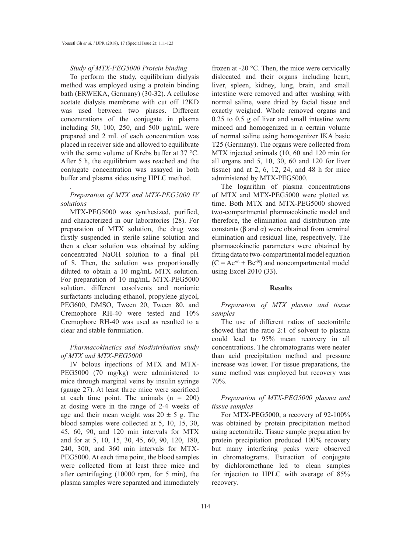# *Study of MTX-PEG5000 Protein binding*

To perform the study, equilibrium dialysis method was employed using a protein binding bath (ERWEKA, Germany) (30-32). A cellulose acetate dialysis membrane with cut off 12KD was used between two phases. Different concentrations of the conjugate in plasma including 50, 100, 250, and 500  $\mu$ g/mL were prepared and 2 mL of each concentration was placed in receiver side and allowed to equilibrate with the same volume of Krebs buffer at 37 °C. After 5 h, the equilibrium was reached and the conjugate concentration was assayed in both buffer and plasma sides using HPLC method.

#### *Preparation of MTX and MTX-PEG5000 IV solutions*

.

MTX-PEG5000 was synthesized, purified, and characterized in our laboratories (28). For preparation of MTX solution, the drug was firstly suspended in sterile saline solution and then a clear solution was obtained by adding concentrated NaOH solution to a final pH of 8. Then, the solution was proportionally diluted to obtain a 10 mg/mL MTX solution. For preparation of 10 mg/mL MTX-PEG5000 solution, different cosolvents and nonionic surfactants including ethanol, propylene glycol, PEG600, DMSO, Tween 20, Tween 80, and Cremophore RH-40 were tested and 10% Cremophore RH-40 was used as resulted to a clear and stable formulation.

### *Pharmacokinetics and biodistribution study of MTX and MTX-PEG5000*

IV bolous injections of MTX and MTX-PEG5000 (70 mg/kg) were administered to mice through marginal veins by insulin syringe (gauge 27). At least three mice were sacrificed at each time point. The animals  $(n = 200)$ at dosing were in the range of 2-4 weeks of age and their mean weight was  $20 \pm 5$  g. The blood samples were collected at 5, 10, 15, 30, 45, 60, 90, and 120 min intervals for MTX and for at 5, 10, 15, 30, 45, 60, 90, 120, 180, 240, 300, and 360 min intervals for MTX-PEG5000. At each time point, the blood samples were collected from at least three mice and after centrifuging (10000 rpm, for 5 min), the plasma samples were separated and immediately

frozen at -20 °C. Then, the mice were cervically dislocated and their organs including heart, liver, spleen, kidney, lung, brain, and small intestine were removed and after washing with normal saline, were dried by facial tissue and exactly weighed. Whole removed organs and 0.25 to 0.5 g of liver and small intestine were minced and homogenized in a certain volume of normal saline using homogenizer IKA basic T25 (Germany). The organs were collected from MTX injected animals (10, 60 and 120 min for all organs and 5, 10, 30, 60 and 120 for liver tissue) and at  $2, 6, 12, 24,$  and  $48$  h for mice administered by MTX-PEG5000.

The logarithm of plasma concentrations of MTX and MTX-PEG5000 were plotted *vs.* time. Both MTX and MTX-PEG5000 showed two-compartmental pharmacokinetic model and therefore, the elimination and distribution rate constants (β and α) were obtained from terminal elimination and residual line, respectively. The pharmacokinetic parameters were obtained by fitting data to two-compartmental model equation  $(C = Ae^{-\alpha t} + Be^{-\beta t})$  and noncompartmental model using Excel 2010 (33).

#### **Results**

*Preparation of MTX plasma and tissue samples*

The use of different ratios of acetonitrile showed that the ratio 2:1 of solvent to plasma could lead to 95% mean recovery in all concentrations. The chromatograms were neater than acid precipitation method and pressure increase was lower. For tissue preparations, the same method was employed but recovery was 70%.

# *Preparation of MTX-PEG5000 plasma and tissue samples*

For MTX-PEG5000, a recovery of 92-100% was obtained by protein precipitation method using acetonitrile. Tissue sample preparation by protein precipitation produced 100% recovery but many interfering peaks were observed in chromatograms. Extraction of conjugate by dichloromethane led to clean samples for injection to HPLC with average of 85% recovery.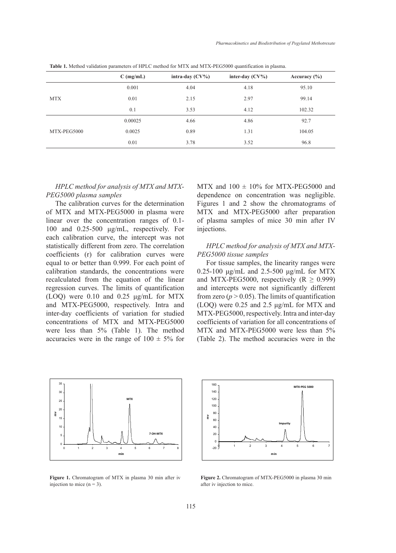|             | $C$ (mg/mL) | intra-day $(CV\%)$ | inter-day $(CV\%)$ | Accuracy $(\% )$ |
|-------------|-------------|--------------------|--------------------|------------------|
|             | 0.001       | 4.04               | 4.18               | 95.10            |
| <b>MTX</b>  | 0.01        | 2.15               | 2.97               | 99.14            |
|             | 0.1         | 3.53               | 4.12               | 102.32           |
|             | 0.00025     | 4.66               | 4.86               | 92.7             |
| MTX-PEG5000 | 0.0025      | 0.89               | 1.31               | 104.05           |
|             | 0.01        | 3.78               | 3.52               | 96.8             |

**Table 1.** Method validation parameters of HPLC method for MTX and MTX-PEG5000 quantification in plasma.

# *HPLC method for analysis of MTX and MTX-PEG5000 plasma samples*

The calibration curves for the determination of MTX and MTX-PEG5000 in plasma were linear over the concentration ranges of 0.1- 100 and 0.25-500 μg/mL, respectively. For each calibration curve, the intercept was not statistically different from zero. The correlation coefficients (r) for calibration curves were equal to or better than 0.999. For each point of calibration standards, the concentrations were recalculated from the equation of the linear regression curves. The limits of quantification (LOQ) were 0.10 and 0.25 μg/mL for MTX and MTX-PEG5000, respectively. Intra and inter-day coefficients of variation for studied concentrations of MTX and MTX-PEG5000 were less than 5% (Table 1). The method accuracies were in the range of  $100 \pm 5\%$  for

MTX and  $100 \pm 10\%$  for MTX-PEG5000 and dependence on concentration was negligible. Figures 1 and 2 show the chromatograms of MTX and MTX-PEG5000 after preparation of plasma samples of mice 30 min after IV injections.

# *HPLC method for analysis of MTX and MTX-*PEG5000 tissue samples

For tissue samples, the linearity ranges were  $0.25 - 100 \mu g/mL$  and  $2.5 - 500 \mu g/mL$  for MTX and MTX-PEG5000, respectively  $(R \ge 0.999)$ and intercepts were not significantly different from zero ( $p > 0.05$ ). The limits of quantification (LOQ) were  $0.25$  and  $2.5 \mu g/mL$  for MTX and MTX-PEG5000, respectively. Intra and inter-day coefficients of variation for all concentrations of MTX and MTX-PEG5000 were less than 5% **min** (Table 2). The method accuracies were in the



Figure 1. Chromatogram of MTX in plasma 30 min after iv injection to mice  $(n = 3)$ .



Figure 2. Chromatogram of MTX-PEG5000 in plasma 30 min after iv injection to mice.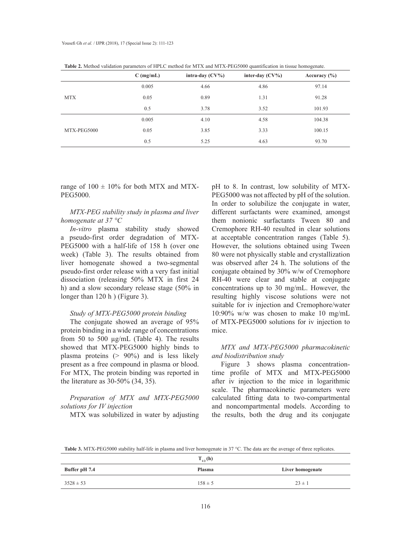|             | $C$ (mg/mL) | intra-day $(CV\%)$ | inter-day $(CV\%)$ | Accuracy $(\% )$ |
|-------------|-------------|--------------------|--------------------|------------------|
|             | 0.005       | 4.66               | 4.86               | 97.14            |
| <b>MTX</b>  | 0.05        | 0.89               | 1.31               | 91.28            |
|             | 0.5         | 3.78               | 3.52               | 101.93           |
|             | 0.005       | 4.10               | 4.58               | 104.38           |
| MTX-PEG5000 | 0.05        | 3.85               | 3.33               | 100.15           |
|             | 0.5         | 5.25               | 4.63               | 93.70            |

**Table 2.** Method validation parameters of HPLC method for MTX and MTX-PEG5000 quantification in tissue homogenate.

range of  $100 \pm 10\%$  for both MTX and MTX-PEG5000.

*MTX-PEG stability study in plasma and liver homogenate at 37 °C*

*In-vitro* plasma stability study showed a pseudo-first order degradation of MTX-PEG5000 with a half-life of 158 h (over one week) (Table 3). The results obtained from liver homogenate showed a two-segmental pseudo-first order release with a very fast initial dissociation (releasing 50% MTX in first 24 h) and a slow secondary release stage (50% in longer than 120 h ) (Figure 3).

## *Study of MTX-PEG5000 protein binding*

The conjugate showed an average of 95% protein binding in a wide range of concentrations from 50 to 500 µg/mL (Table 4). The results showed that MTX-PEG5000 highly binds to plasma proteins  $(> 90\%)$  and is less likely present as a free compound in plasma or blood. For MTX, The protein binding was reported in the literature as 30-50% (34, 35).

# *Preparation of MTX and MTX-PEG5000 solutions for IV injection*

MTX was solubilized in water by adjusting

pH to 8. In contrast, low solubility of MTX-PEG5000 was not affected by pH of the solution. In order to solubilize the conjugate in water, different surfactants were examined, amongst them nonionic surfactants Tween 80 and Cremophore RH-40 resulted in clear solutions at acceptable concentration ranges (Table 5). However, the solutions obtained using Tween 80 were not physically stable and crystallization was observed after 24 h. The solutions of the conjugate obtained by 30% w/w of Cremophore RH-40 were clear and stable at conjugate concentrations up to 30 mg/mL. However, the resulting highly viscose solutions were not suitable for iv injection and Cremophore/water 10:90% w/w was chosen to make 10 mg/mL of MTX-PEG5000 solutions for iv injection to mice.

# *MTX and MTX-PEG5000 pharmacokinetic and biodistribution study*

Figure 3 shows plasma concentrationtime profile of MTX and MTX-PEG5000 after iv injection to the mice in logarithmic scale. The pharmacokinetic parameters were calculated fitting data to two-compartmental and noncompartmental models. According to the results, both the drug and its conjugate

Table 3. MTX-PEG5000 stability half-life in plasma and liver homogenate in 37 °C. The data are the average of three replicates.

|               | $T_{1/2}$ (h) |                  |
|---------------|---------------|------------------|
| Buffer pH 7.4 | Plasma        | Liver homogenate |
| $3528 \pm 53$ | $158 \pm 5$   | $23 \pm 1$       |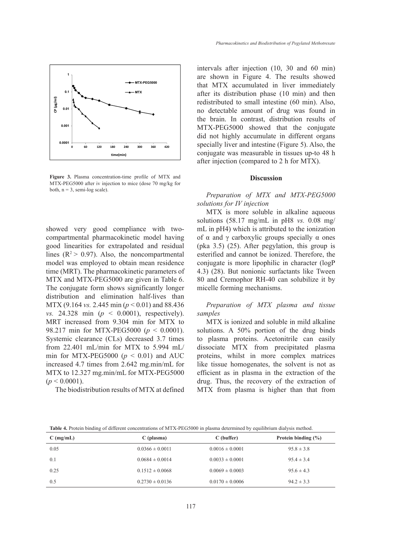

**Figure 3.** Plasma concentration-time profile of MTX and **Discussion** MTX-PEG5000 after iv injection to mice (dose 70 mg/kg for both,  $n = 3$ , semi-log scale).

showed very good compliance with two- mL in pH4) which is attr compartmental pharmacokinetic model having good linearities for extrapolated and residual lines  $(R^2 > 0.97)$ . Also, the noncompartmental model was employed to obtain mean residence time (MRT). The pharmacokinetic parameters of MTX and MTX-PEG5000 are given in Table 6. The conjugate form shows significantly longer distribution and elimination half-lives than MTX (9.164 *vs.* 2.445 min (*p* < 0.01) and 88.436 *vs.* 24.328 min (*p* < 0.0001), respectively). MRT increased from 9.304 min for MTX to 98.217 min for MTX-PEG5000 (*p* < 0.0001). Systemic clearance (CLs) decreased 3.7 times from 22.401 mL/min for MTX to 5.994 mL/ min for MTX-PEG5000 ( $p < 0.01$ ) and AUC increased 4.7 times from 2.642 mg.min/mL for MTX to 12.327 mg.min/mL for MTX-PEG5000  $(p < 0.0001)$ .

The biodistribution results of MTX at defined

intervals after injection (10, 30 and 60 min) are shown in Figure 4. The results showed that MTX accumulated in liver immediately after its distribution phase (10 min) and then redistributed to small intestine (60 min). Also, no detectable amount of drug was found in the brain. In contrast, distribution results of MTX-PEG5000 showed that the conjugate did not highly accumulate in different organs specially liver and intestine (Figure 5). Also, the conjugate was measurable in tissues up-to 48 h after injection (compared to 2 h for MTX).

#### **Discussion**

# *Preparation of MTX and MTX-PEG5000 solutions for IV injection*

 $MTX$  is more soluble in alkaline aqueous  $MXX$ solutions  $(58.17 \text{ mg/mL}$  in pH8 *vs.* 0.08 mg/ mL in pH4) which is attributed to the ionization of  $\alpha$  and  $\gamma$  carboxylic groups specially  $\alpha$  ones (pka 3.5) (25). After pegylation, this group is esterified and cannot be ionized. Therefore, the conjugate is more lipophilic in character (logP 4.3) (28). But nonionic surfactants like Tween 80 and Cremophor RH-40 can solubilize it by micelle forming mechanisms.

> *Preparation of MTX plasma and tissue samples*

> MTX is ionized and soluble in mild alkaline solutions. A 50% portion of the drug binds to plasma proteins. Acetonitrile can easily dissociate MTX from precipitated plasma proteins, whilst in more complex matrices like tissue homogenates, the solvent is not as efficient as in plasma in the extraction of the drug. Thus, the recovery of the extraction of MTX from plasma is higher than that from

**C (mg/mL) C (plasma) C (buffer) Protein binding (%)**  0.05 0.0366  $\pm$  0.0011 0.0016  $\pm$  0.0001 95.8  $\pm$  3.8 0.1 0.0684  $\pm$  0.0014 0.0033  $\pm$  0.0001 95.4  $\pm$  3.4 0.25 0.1512  $\pm$  0.0068 0.0069  $\pm$  0.0003 95.6  $\pm$  4.3 0.5 0.2730  $\pm$  0.0136 0.0170  $\pm$  0.0006 94.2  $\pm$  3.3

**Table 4.** Protein binding of different concentrations of MTX-PEG5000 in plasma determined by equilibrium dialysis method.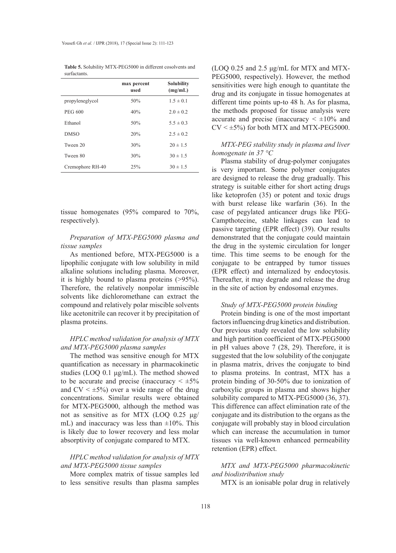|                  | max percent<br>used | <b>Solubility</b><br>(mg/mL) |
|------------------|---------------------|------------------------------|
| propyleneglycol  | 50%                 | $1.5 \pm 0.1$                |
| <b>PEG 600</b>   | 40%                 | $2.0 \pm 0.2$                |
| Ethanol          | 50%                 | $5.5 \pm 0.3$                |
| <b>DMSO</b>      | 20%                 | $2.5 \pm 0.2$                |
| Tween 20         | 30%                 | $20 \pm 1.5$                 |
| Tween 80         | 30%                 | $30 \pm 1.5$                 |
| Cremophore RH-40 | 25%                 | $30 \pm 1.5$                 |

**Table 5.** Solubility MTX-PEG5000 in different cosolvents and surfactants.

tissue homogenates (95% compared to 70%, respectively).

### *Preparation of MTX-PEG5000 plasma and tissue samples*

As mentioned before, MTX-PEG5000 is a lipophilic conjugate with low solubility in mild alkaline solutions including plasma. Moreover, it is highly bound to plasma proteins (>95%). Therefore, the relatively nonpolar immiscible solvents like dichloromethane can extract the compound and relatively polar miscible solvents like acetonitrile can recover it by precipitation of plasma proteins.

## *HPLC method validation for analysis of MTX and MTX-PEG5000 plasma samples*

The method was sensitive enough for MTX quantification as necessary in pharmacokinetic studies (LOQ 0.1 μg/mL). The method showed to be accurate and precise (inaccuracy  $\leq \pm 5\%$ ) and  $CV < \pm 5\%$ ) over a wide range of the drug concentrations. Similar results were obtained for MTX-PEG5000, although the method was not as sensitive as for MTX (LOQ 0.25 μg/ mL) and inaccuracy was less than  $\pm 10\%$ . This is likely due to lower recovery and less molar absorptivity of conjugate compared to MTX.

# *HPLC method validation for analysis of MTX and MTX-PEG5000 tissue samples*

More complex matrix of tissue samples led to less sensitive results than plasma samples

(LOQ 0.25 and 2.5 μg/mL for MTX and MTX-PEG5000, respectively). However, the method sensitivities were high enough to quantitate the drug and its conjugate in tissue homogenates at different time points up-to 48 h. As for plasma, the methods proposed for tissue analysis were accurate and precise (inaccuracy  $\leq \pm 10\%$  and  $CV < \pm 5\%$ ) for both MTX and MTX-PEG5000.

*MTX-PEG stability study in plasma and liver homogenate in 37 °C*

Plasma stability of drug-polymer conjugates is very important. Some polymer conjugates are designed to release the drug gradually. This strategy is suitable either for short acting drugs like ketoprofen (35) or potent and toxic drugs with burst release like warfarin (36). In the case of pegylated anticancer drugs like PEG-Campthotecine, stable linkages can lead to passive targeting (EPR effect) (39). Our results demonstrated that the conjugate could maintain the drug in the systemic circulation for longer time. This time seems to be enough for the conjugate to be entrapped by tumor tissues (EPR effect) and internalized by endocytosis. Thereafter, it may degrade and release the drug in the site of action by endosomal enzymes.

#### *Study of MTX-PEG5000 protein binding*

Protein binding is one of the most important factors influencing drug kinetics and distribution. Our previous study revealed the low solubility and high partition coefficient of MTX-PEG5000 in pH values above 7 (28, 29). Therefore, it is suggested that the low solubility of the conjugate in plasma matrix, drives the conjugate to bind to plasma proteins. In contrast, MTX has a protein binding of 30-50% due to ionization of carboxylic groups in plasma and shows higher solubility compared to MTX-PEG5000 (36, 37). This difference can affect elimination rate of the conjugate and its distribution to the organs as the conjugate will probably stay in blood circulation which can increase the accumulation in tumor tissues via well-known enhanced permeability retention (EPR) effect.

# *MTX and MTX-PEG5000 pharmacokinetic and biodistribution study*

MTX is an ionisable polar drug in relatively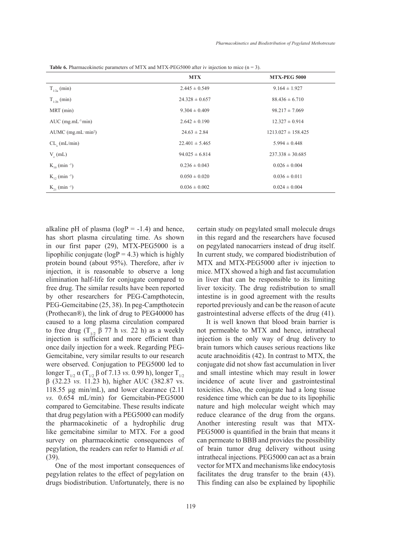|                               | <b>MTX</b>         | <b>MTX-PEG 5000</b>    |
|-------------------------------|--------------------|------------------------|
| $T_{1/2a}$ (min)              | $2.445 \pm 0.549$  | $9.164 \pm 1.927$      |
| $T_{1/2b}$ (min)              | $24.328 \pm 0.657$ | $88.436 \pm 6.710$     |
| $MRT$ (min)                   | $9.304 \pm 0.409$  | $98.217 \pm 7.069$     |
| AUC $(mg.mL^{-1}min)$         | $2.642 \pm 0.190$  | $12.327 \pm 0.914$     |
| AUMC $(mg.mL·min2)$           | $24.63 \pm 2.84$   | $1213.027 \pm 158.425$ |
| $CL_{\alpha}$ (mL/min)        | $22.401 \pm 5.465$ | $5.994 \pm 0.448$      |
| $V_{n}(mL)$                   | $94.025 \pm 6.814$ | $237.338 \pm 30.685$   |
| $K_{10}$ (min <sup>-1</sup> ) | $0.236 \pm 0.043$  | $0.026 \pm 0.004$      |
| $K_{12}$ (min <sup>-1</sup> ) | $0.050 \pm 0.020$  | $0.036 \pm 0.011$      |
| $K_{21}$ (min <sup>-1</sup> ) | $0.036 \pm 0.002$  | $0.024 \pm 0.004$      |

**Table 6.** Pharmacokinetic parameters of MTX and MTX-PEG5000 after iv injection to mice (n = 3).

alkaline pH of plasma ( $logP = -1.4$ ) and hence, has short plasma circulating time. As shown in our first paper (29), MTX-PEG5000 is a lipophilic conjugate ( $logP = 4.3$ ) which is highly protein bound (about 95%). Therefore, after iv injection, it is reasonable to observe a long elimination half-life for conjugate compared to free drug. The similar results have been reported by other researchers for PEG-Campthotecin, PEG-Gemcitabine (25, 38). In peg-Campthotecin (Prothecan®), the link of drug to PEG40000 has caused to a long plasma circulation compared to free drug  $(T_{1/2} \beta 77 h \text{ vs. } 22 h)$  as a weekly injection is sufficient and more efficient than once daily injection for a week. Regarding PEG-Gemcitabine, very similar results to our research were observed. Conjugation to PEG5000 led to longer  $T_{1/2}$   $\alpha$  ( $T_{1/2}$   $\beta$  of 7.13 *vs.* 0.99 h), longer  $T_{1/2}$ β (32.23 *vs.* 11.23 h), higher AUC (382.87 vs. 118.55 μg min/mL), and lower clearance (2.11 *vs.* 0.654 mL/min) for Gemcitabin-PEG5000 compared to Gemcitabine. These results indicate that drug pegylation with a PEG5000 can modify the pharmacokinetic of a hydrophilic drug like gemcitabine similar to MTX. For a good survey on pharmacokinetic consequences of pegylation, the readers can refer to Hamidi *et al.* (39).

One of the most important consequences of pegylation relates to the effect of pegylation on drugs biodistribution. Unfortunately, there is no

certain study on pegylated small molecule drugs in this regard and the researchers have focused on pegylated nanocarriers instead of drug itself. In current study, we compared biodistribution of MTX and MTX-PEG5000 after iv injection to mice. MTX showed a high and fast accumulation in liver that can be responsible to its limiting liver toxicity. The drug redistribution to small intestine is in good agreement with the results reported previously and can be the reason of acute gastrointestinal adverse effects of the drug (41).

It is well known that blood brain barrier is not permeable to MTX and hence, intrathecal injection is the only way of drug delivery to brain tumors which causes serious reactions like acute arachnoiditis (42). In contrast to MTX, the conjugate did not show fast accumulation in liver and small intestine which may result in lower incidence of acute liver and gastrointestinal toxicities. Also, the conjugate had a long tissue residence time which can be due to its lipophilic nature and high molecular weight which may reduce clearance of the drug from the organs. Another interesting result was that MTX-PEG5000 is quantified in the brain that means it can permeate to BBB and provides the possibility of brain tumor drug delivery without using intrathecal injections. PEG5000 can act as a brain vector for MTX and mechanisms like endocytosis facilitates the drug transfer to the brain (43). This finding can also be explained by lipophilic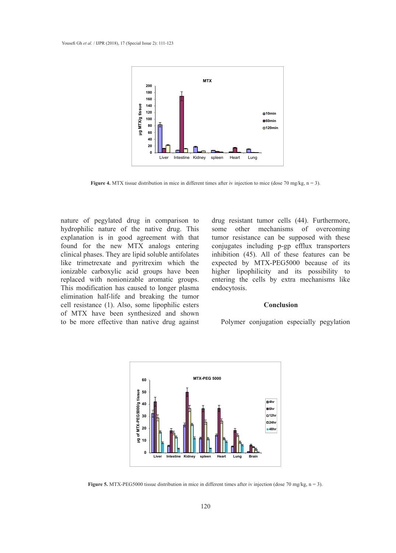

**Figure 4.** MTX tissue distribution in mice in different times after iv injection to mice (dose 70 mg/kg, n = 3).

nature of pegylated drug in comparison to hydrophilic nature of the native drug. This explanation is in good agreement with that found for the new MTX analogs entering clinical phases. They are lipid soluble antifolates like trimetrexate and pyritrexim which the ionizable carboxylic acid groups have been replaced with nonionizable aromatic groups. This modification has caused to longer plasma elimination half-life and breaking the tumor cell resistance (1). Also, some lipophilic esters of MTX have been synthesized and shown to be more effective than native drug against

drug resistant tumor cells (44). Furthermore, some other mechanisms of overcoming tumor resistance can be supposed with these conjugates including p-gp efflux transporters inhibition (45). All of these features can be expected by MTX-PEG5000 because of its higher lipophilicity and its possibility to entering the cells by extra mechanisms like endocytosis.

#### **Conclusion**

Polymer conjugation especially pegylation



**Figure 5.** MTX-PEG5000 tissue distribution in mice in different times after iv injection (dose 70 mg/kg, n = 3).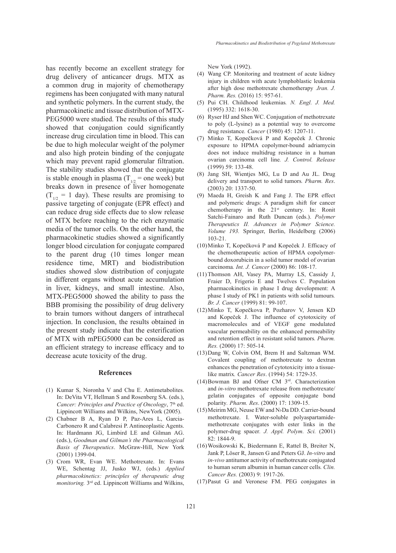has recently become an excellent strategy for drug delivery of anticancer drugs. MTX as a common drug in majority of chemotherapy regimens has been conjugated with many natural and synthetic polymers. In the current study, the pharmacokinetic and tissue distribution of MTX-PEG5000 were studied. The results of this study showed that conjugation could significantly increase drug circulation time in blood. This can be due to high molecular weight of the polymer and also high protein binding of the conjugate which may prevent rapid glomerular filtration. The stability studies showed that the conjugate is stable enough in plasma ( $T_{1/2}$  = one week) but breaks down in presence of liver homogenate  $(T_{1/2} = 1$  day). These results are promising to passive targeting of conjugate (EPR effect) and can reduce drug side effects due to slow release of MTX before reaching to the rich enzymatic media of the tumor cells. On the other hand, the pharmacokinetic studies showed a significantly longer blood circulation for conjugate compared to the parent drug (10 times longer mean residence time, MRT) and biodistribution studies showed slow distribution of conjugate in different organs without acute accumulation in liver, kidneys, and small intestine. Also, MTX-PEG5000 showed the ability to pass the BBB promising the possibility of drug delivery to brain tumors without dangers of intrathecal injection. In conclusion, the results obtained in the present study indicate that the esterification of MTX with mPEG5000 can be considered as an efficient strategy to increase efficacy and to decrease acute toxicity of the drug.

#### **References**

- (1) Kumar S, Noronha V and Chu E. Antimetabolites. In: DeVita VT, Hellman S and Rosenberg SA. (eds.), *Cancer: Principles and Practice of Oncology*, 7<sup>th</sup> ed. Lippincott Williams and Wilkins, NewYork (2005).
- Chabner B A, Ryan D P, Paz-Ares L, Garcia-(2) Carbonero R and Calabresi P. Antineoplastic Agents. In: Hardmann JG, Limbird LE and Gilman AG. (eds.), *Goodman and Gilman's the Pharmacological Basis of Therapeutics*. McGraw-Hill, New York (2001) 1399-04.
- (3) Crom WR, Evan WE. Methotrexate. In: Evans WE, Schentag JJ, Jusko WJ, (eds.) *Applied pharmacokinetics: principles of therapeutic drug monitoring.* 3rd ed. Lippincott Williams and Wilkins,

New York (1992).

- Wang CP. Monitoring and treatment of acute kidney injury in children with acute lymphoblastic leukemia after high dose methotrexate chemotherapy .*Iran. J. Pharm. Res.* (2016) 15: 957-61. (4)
- (5) Pui CH. Childhood leukemias. N. Engl. J. Med. (1995) 332: 1618-30.
- (6) Ryser HJ and Shen WC. Conjugation of methotrexate to poly (L‐lysine) as a potential way to overcome drug resistance*. Cancer* (1980) 45: 1207-11.
- (7) Minko T, Kopečková P and Kopeček J. Chronic exposure to HPMA copolymer-bound adriamycin does not induce multidrug resistance in a human ovarian carcinoma cell line*. J. Control. Release* (1999) 59: 133-48.
- (8) Jang SH, Wientjes MG, Lu D and Au JL. Drug delivery and transport to solid tumors*. Pharm. Res*. (2003) 20: 1337-50.
- (9) Maeda H, Greish K and Fang J. The EPR effect and polymeric drugs: A paradigm shift for cancer chemotherapy in the  $21<sup>st</sup>$  century. In: Ronit Satchi-Fainaro and Ruth Duncan (eds.). *Polymer Therapeutics II. Advances in Polymer Science. Volume 193.* Springer, Berlin, Heidelberg (2006) 103-21.
- (10) Minko T, Kopečková P and Kopeček J. Efficacy of the chemotherapeutic action of HPMA copolymerbound doxorubicin in a solid tumor model of ovarian carcinoma*. Int. J. Cancer* (2000) 86: 108-17.
- (11) Thomson AH, Vasey PA, Murray LS, Cassidy J, Fraier D, Frigerio E and Twelves C. Population pharmacokinetics in phase I drug development: A phase I study of PK1 in patients with solid tumours*. Br. J. Cancer* (1999) 81: 99-107.
- (12) Minko T, Kopečkova P, Pozharov V, Jensen KD and Kopeček J. The influence of cytotoxicity of macromolecules and of VEGF gene modulated vascular permeability on the enhanced permeability and retention effect in resistant solid tumors*. Pharm. Res.* (2000) 17: 505-14.
- (13) Dang W, Colvin OM, Brem H and Saltzman WM. Covalent coupling of methotrexate to dextran enhances the penetration of cytotoxicity into a tissuelike matrix*. Cancer Res*. (1994) 54: 1729-35.
- $(14)$ Bowman BJ and Ofner CM  $3<sup>rd</sup>$ . Characterization and *in-vitro* methotrexate release from methotrexate/ gelatin conjugates of opposite conjugate bond polarity*. Pharm. Res*. (2000) 17: 1309-15.
- (15) Meirim MG, Neuse EW and N>Da DD. Carrier-bound methotrexate. I. Water-soluble polyaspartamidemethotrexate conjugates with ester links in the polymer-drug spacer*. J. Appl. Polym. Sci.* (2001) 82: 1844-9.
- Wosikowski K, Biedermann E, Rattel B, Breiter N, (16) Jank P, Löser R, Jansen G and Peters GJ. *In-vitro* and *in-vivo* antitumor activity of methotrexate conjugated to human serum albumin in human cancer cells*. Clin. Cancer Res.* (2003) 9: 1917-26.
- (17) Pasut G and Veronese FM. PEG conjugates in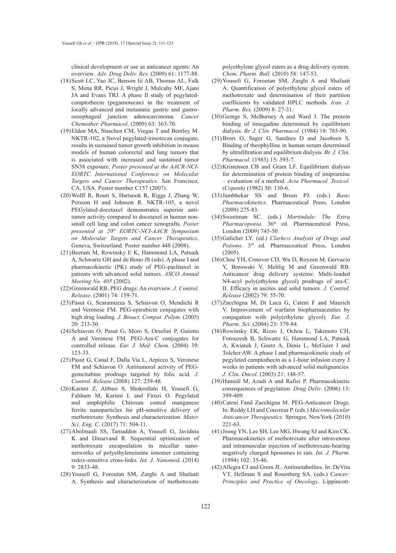clinical development or use as anticancer agents: An overview*. Adv. Drug Deliv. Rev.* (2009) 61: 1177-88.

- (18) Scott LC, Yao JC, Benson Iii AB, Thomas AL, Falk S, Mena RR, Picus J, Wright J, Mulcahy MF, Ajani JA and Evans TRJ. A phase II study of pegylatedcamptothecin (pegamotecan) in the treatment of locally advanced and metastatic gastric and gastrooesophageal junction adenocarcinoma*. Cancer Chemother. Pharmacol*. (2009) 63: 363-70.
- Eldon MA, Staschen CM, Viegas T and Bentley M. (19) NKTR-102, a Novel pegylated-irinotecan conjugate, results in sustained tumor growth inhibition in mouse models of human colorectal and lung tumors that is associated with increased and sustained tumor SN38 exposure. *Poster presented at the AACR-NCI-EORTC International Conference on Molecular Targets and Cancer Therapeutics*. San Francisco, CA, USA. Poster number C157 (2007).
- Wolff R, Routt S, Hartsook R, Riggs J, Zhang W, (20) Persson H and Johnson R. NKTR-105, a novel PEGylated-docetaxel demonstrates superior antitumor activity compared to docetaxel in human nonsmall cell lung and colon cancer xenografts. *Poster presented at 20th EORTC-NCI-AACR Symposium on Molecular Targets and Cancer Therapeutics*. Geneva, Switzerland. Poster number 448 (2008).
- (21) Beeram M, Rowinsky E K, Hammond LA, Patnaik A, Schwartz GH and de Bono JS (eds). A phase I and pharmacokinetic (PK) study of PEG-paclitaxel in patients with advanced solid tumors. *ASCO Annual Meeting No. 405* (2002).
- (22) Greenwald RB. PEG drugs: An overview. *J. Control. Release*. (2001) 74: 159-71.
- (23) Pasut G, Scaramuzza S, Schiavon O, Mendichi R and Veronese FM. PEG-epirubicin conjugates with high drug loading*. J. Bioact. Compat. Polym.* (2005) 20: 213-30.
- (24) Schiavon O, Pasut G, Moro S, Orsolini P, Guiotto A and Veronese FM. PEG-Ara-C conjugates for controlled release*. Eur. J. Med. Chem.* (2004) 39: 123-33.
- (25) Pasut G, Canal F, Dalla Via L, Arpicco S, Veronese FM and Schiavon O. Antitumoral activity of PEGgemcitabine prodrugs targeted by folic acid*. J. Control. Release* (2008) 127: 239-48.
- (26) Karimi Z, Abbasi S, Shokrollahi H, Yousefi G, Fahham M, Karimi L and Firuzi O. Pegylated and amphiphilic Chitosan coated manganese ferrite nanoparticles for pH-sensitive delivery of methotrexate: Synthesis and characterization*. Mater. Sci. Eng. C.* (2017) 71: 504-11.
- (27) Abolmaali SS, Tamaddon A, Yousefi G, Javidnia K and Dinarvand R. Sequential optimization of methotrexate encapsulation in micellar nanonetworks of polyethyleneimine ionomer containing redox-sensitive cross-links*. Int. J. Nanomed*. (2014) 9: 2833-48.
- (28) Yousefi G, Foroutan SM, Zarghi A and Shafaati A. Synthesis and characterization of methotrexate

polyethylene glycol esters as a drug delivery system*. Chem. Pharm. Bull.* (2010) 58: 147-53.

- (29) Yousefi G, Foroutan SM, Zarghi A and Shafaati A. Quantification of polyethylene glycol esters of methotrexate and determination of their partition coefficients by validated HPLC methods*. Iran. J. Pharm. Res.* (2009) 8: 27-31.
- (30) George S, McBurney A and Ward J. The protein binding of timegadine determined by equilibrium dialysis*. Br. J. Clin. Pharmacol.* (1984) 18: 785-90.
- (31) Brors O, Sager G, Sandnes D and Jacobsen S. Binding of theophylline in human serum determined by ultrafiltration and equilibrium dialysis*. Br. J. Clin. Pharmacol.* (1983) 15: 393-7.
- $(32)$ Kristensen CB and Gram LF. Equilibrium dialysis for determination of protein binding of imipramine – evaluation of a method*. Acta Pharmacol. Toxicol. (Copenh)* (1982) 50: 130-6.
- Jambhekar SS and Breen PJ. (eds.) *Basic*  (33) *Pharmacokinetics*. Pharmaceutical Press, London (2009) 275-83.
- (34) Sweetman SC. (eds.) *Martindale: The Extra* Pharmacopoeia. 36<sup>th</sup> ed. Pharmaceutical Press, London (2009) 745-50.
- (35) Galichet LY. (ed.) *Clarke s Analysis of Drugs and Poisons*. 3rd ed. Pharmaceutical Press, London (2005).
- (36) Choe YH, Conover CD, Wu D, Royzen M, Gervacio Y, Borowski V, Mehlig M and Greenwald RB. Anticancer drug delivery systems: Multi-loaded N4-acyl poly(ethylene glycol) prodrugs of ara-C. II. Efficacy in ascites and solid tumors*. J. Control. Release* (2002) 79: 55-70.
- $(37)$ Zacchigna M, Di Luca G, Cateni F and Maurich V. Improvement of warfarin biopharmaceutics by conjugation with poly(ethylene glycol)*. Eur. J. Pharm. Sci.* (2004) 23: 379-84.
- (38) Rowinsky EK, Rizzo J, Ochoa L, Takimoto CH, Forouzesh B, Schwartz G, Hammond LA, Patnaik A, Kwiatek J, Goetz A, Denis L, McGuire J and Tolcher AW. A phase I and pharmacokinetic study of pegylated camptothecin as a 1-hour infusion every 3 weeks in patients with advanced solid malignancies*. J. Clin. Oncol.* (2003) 21: 148-57.
- (39) Hamidi M, Azadi A and Rafiei P. Pharmacokinetic consequences of pegylation*. Drug Deliv*. (2006) 13: 399-409.
- (40) Cateni Fand Zacchigna M. PEG-Anticancer Drugs. In: Reddy LH and Couvreur P. (eds.) *Macromolecular Anticancer Therapeutics.* Springer, NewYork (2010) 221-63.
- (41) Jeong YN, Lee SH, Lee MG, Hwang SJ and Kim CK. Pharmacokinetics of methotrexate after intravenous and intramuscular injection of methotrexate-bearing negatively charged liposomes to rats*. Int. J. Pharm*. (1994) 102: 35-46.
- (42) Allegra CJ and Grem JL. Antimetabolites. In: DeVita VT, Hellman S and Rosenberg SA. (eds.) *Cancer: Principles and Practice of Oncology*. Lippincott-